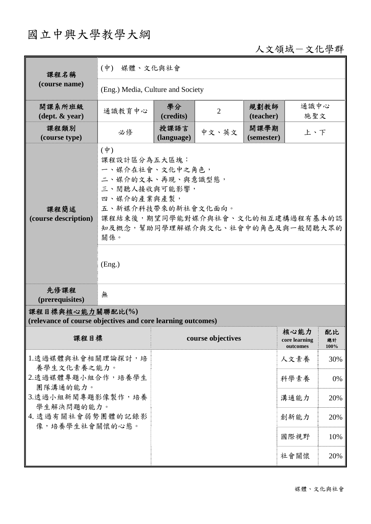# 國立中興大學教學大綱

# 人文領域-文化學群

| 課程名稱                                                                            | (中) 媒體、文化與社會                                                                                                                                                                                                       |                    |                   |                    |                                   |                  |  |
|---------------------------------------------------------------------------------|--------------------------------------------------------------------------------------------------------------------------------------------------------------------------------------------------------------------|--------------------|-------------------|--------------------|-----------------------------------|------------------|--|
| (course name)                                                                   | (Eng.) Media, Culture and Society                                                                                                                                                                                  |                    |                   |                    |                                   |                  |  |
| 開課系所班級<br>$(\text{dept.} \& \text{ year})$                                      | 通識教育中心                                                                                                                                                                                                             | 學分<br>(credits)    | $\overline{2}$    | 規劃教師<br>(teacher)  | 通識中心<br>施聖文                       |                  |  |
| 課程類別<br>(course type)                                                           | 必修                                                                                                                                                                                                                 | 授課語言<br>(language) | 中文、英文             | 開課學期<br>(semester) | 上、下                               |                  |  |
| 課程簡述<br>(course description)                                                    | $(\dagger)$<br>課程設計區分為五大區塊:<br>一、媒介在社會、文化中之角色,<br>二、媒介的文本、再現、與意識型態,<br>三、閱聽人接收與可能影響,<br>四、媒介的產業與產製,<br>五、新媒介科技帶來的新社會文化面向。<br>課程結束後,期望同學能對媒介與社會、文化的相互建構過程有基本的認<br>知及概念,幫助同學理解媒介與文化、社會中的角色及與一般閱聽大眾的<br>關係。<br>(Eng.) |                    |                   |                    |                                   |                  |  |
| 先修課程<br>(prerequisites)                                                         | 無                                                                                                                                                                                                                  |                    |                   |                    |                                   |                  |  |
| 課程目標與核心能力關聯配比(%)<br>(relevance of course objectives and core learning outcomes) |                                                                                                                                                                                                                    |                    |                   |                    |                                   |                  |  |
| 課程目標                                                                            |                                                                                                                                                                                                                    |                    | course objectives |                    | 核心能力<br>core learning<br>outcomes | 配比<br>總計<br>100% |  |
| 1.透過媒體與社會相關理論探討,培                                                               |                                                                                                                                                                                                                    |                    |                   |                    | 人文素養                              | 30%              |  |
| 養學生文化素養之能力。<br>2.透過媒體專題小組合作,培養學生                                                |                                                                                                                                                                                                                    |                    |                   |                    | 科學素養                              | 0%               |  |
| 團隊溝通的能力。<br>3.透過小組新聞專題影像製作,培養                                                   |                                                                                                                                                                                                                    |                    |                   |                    | 溝通能力                              | 20%              |  |
| 學生解決問題的能力。<br>4. 透過有關社會弱勢團體的記錄影                                                 |                                                                                                                                                                                                                    |                    |                   |                    | 創新能力                              | 20%              |  |
| 像,培養學生社會關懷的心態。                                                                  |                                                                                                                                                                                                                    |                    |                   |                    | 國際視野                              | 10%              |  |
|                                                                                 |                                                                                                                                                                                                                    |                    |                   |                    | 社會關懷                              | 20%              |  |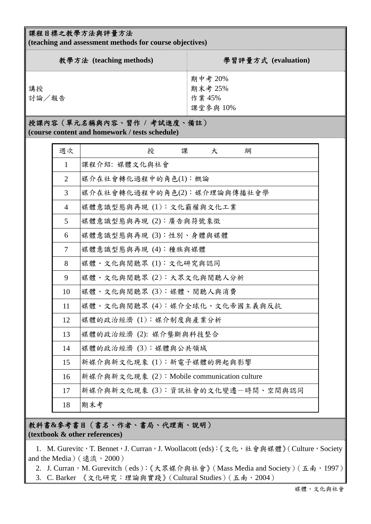#### 課程目標之教學方法與評量方法

**(teaching and assessment methods for course objectives)** 

| 教學方法 (teaching methods) | 學習評量方式 (evaluation)                     |
|-------------------------|-----------------------------------------|
| 講授<br>討論/報告             | 期中考 20%<br>期末考 25%<br>作業 45%<br>課堂參與10% |

## 授課內容(單元名稱與內容、習作 **/** 考試進度、備註)

**(course content and homework / tests schedule)** 

| 週次             | 授<br>課<br>綱<br>大                            |
|----------------|---------------------------------------------|
| $\mathbf{1}$   | 課程介紹: 媒體文化與社會                               |
| $\overline{2}$ | 媒介在社會轉化過程中的角色(1):概論                         |
| 3              | 媒介在社會轉化過程中的角色(2):媒介理論與傳播社會學                 |
| $\overline{4}$ | 媒體意識型態與再現 (1):文化霸權與文化工業                     |
| 5              | 媒體意識型態與再現 (2):廣告與符號象徵                       |
| 6              | 媒體意識型態與再現 (3):性別、身體與媒體                      |
| 7              | 媒體意識型態與再現 (4): 種族與媒體                        |
| 8              | 媒體、文化與閱聽眾(1):文化研究與認同                        |
| 9              | 媒體、文化與閱聽眾 (2): 大眾文化與閱聽人分析                   |
| 10             | 媒體、文化與閱聽眾 (3): 媒體、閱聽人與消費                    |
| 11             | 媒體、文化與閱聽眾(4):媒介全球化、文化帝國主義與反抗                |
| 12             | 媒體的政治經濟(1):媒介制度與產業分析                        |
| 13             | 媒體的政治經濟 (2): 媒介壟斷與科技整合                      |
| 14             | 媒體的政治經濟(3): 媒體與公共領域                         |
| 15             | 新媒介與新文化現象 (1):新電子媒體的興起與影響                   |
| 16             | 新媒介與新文化現象 (2): Mobile communication culture |
| 17             | 新媒介與新文化現象 (3): 資訊社會的文化變遷一時間、空間與認同           |
| 18             | 期末考                                         |

#### 教科書**&**參考書目(書名、作者、書局、代理商、說明) **(textbook & other references)**

1. M. Gurevitc,T. Bennet,J. Curran,J. Woollacott (eds):《文化,社會與媒體》(Culture, Society and the Media) (遠流, 2000)

2. J. Curran, M. Gurevitch (eds):《大眾媒介與社會》(Mass Media and Society)(五南, 1997)

3. C. Barker 《文化研究:理論與實踐》(Cultural Studies)(五南,2004)